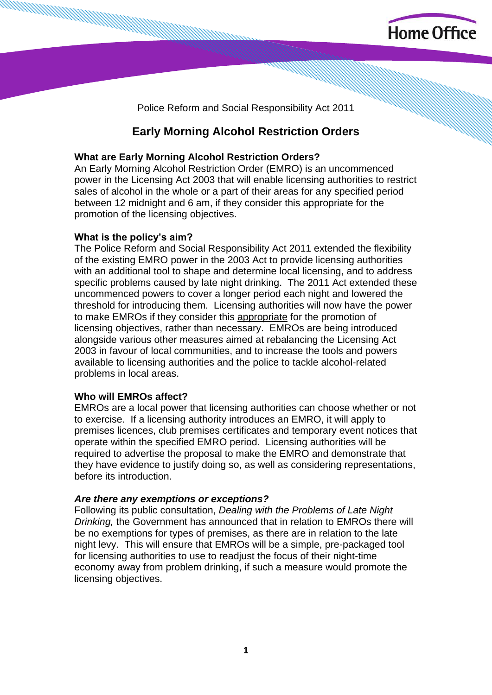

Police Reform and Social Responsibility Act 2011

# **Early Morning Alcohol Restriction Orders**

## **What are Early Morning Alcohol Restriction Orders?**

An Early Morning Alcohol Restriction Order (EMRO) is an uncommenced power in the Licensing Act 2003 that will enable licensing authorities to restrict sales of alcohol in the whole or a part of their areas for any specified period between 12 midnight and 6 am, if they consider this appropriate for the promotion of the licensing objectives.

## **What is the policy's aim?**

The Police Reform and Social Responsibility Act 2011 extended the flexibility of the existing EMRO power in the 2003 Act to provide licensing authorities with an additional tool to shape and determine local licensing, and to address specific problems caused by late night drinking. The 2011 Act extended these uncommenced powers to cover a longer period each night and lowered the threshold for introducing them. Licensing authorities will now have the power to make EMROs if they consider this appropriate for the promotion of licensing objectives, rather than necessary. EMROs are being introduced alongside various other measures aimed at rebalancing the Licensing Act 2003 in favour of local communities, and to increase the tools and powers available to licensing authorities and the police to tackle alcohol-related problems in local areas.

## **Who will EMROs affect?**

EMROs are a local power that licensing authorities can choose whether or not to exercise. If a licensing authority introduces an EMRO, it will apply to premises licences, club premises certificates and temporary event notices that operate within the specified EMRO period. Licensing authorities will be required to advertise the proposal to make the EMRO and demonstrate that they have evidence to justify doing so, as well as considering representations, before its introduction.

### *Are there any exemptions or exceptions?*

Following its public consultation, *Dealing with the Problems of Late Night Drinking,* the Government has announced that in relation to EMROs there will be no exemptions for types of premises, as there are in relation to the late night levy. This will ensure that EMROs will be a simple, pre-packaged tool for licensing authorities to use to readjust the focus of their night-time economy away from problem drinking, if such a measure would promote the licensing objectives.